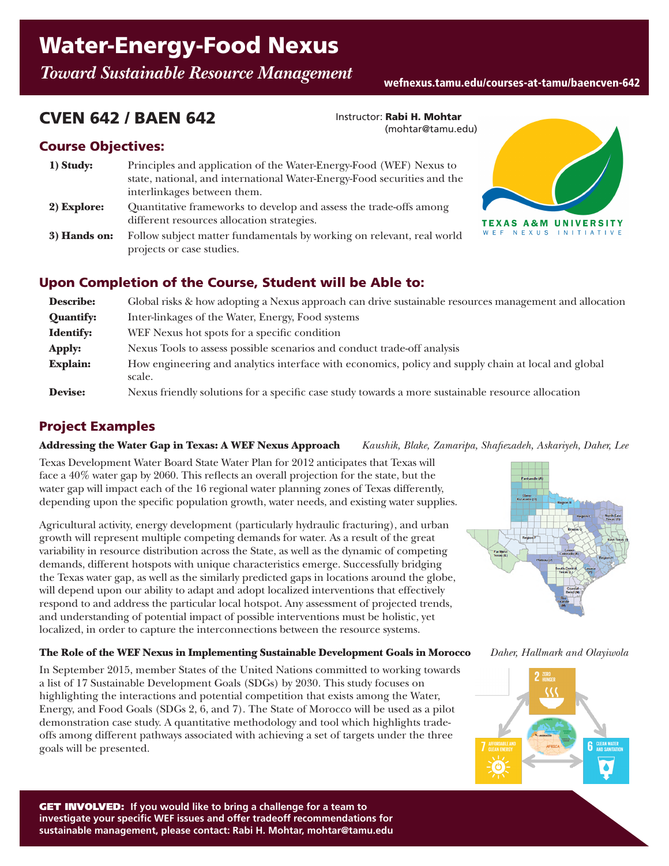# Water-Energy-Food Nexus

*Toward Sustainable Resource Management*

### wefnexus.tamu.edu/courses-at-tamu/baencven-642

# CVEN 642 / BAEN 642

Instructor: Rabi H. Mohtar (mohtar@tamu.edu)

## Course Objectives:

| 1) Study:    | Principles and application of the Water-Energy-Food (WEF) Nexus to                                               |
|--------------|------------------------------------------------------------------------------------------------------------------|
|              | state, national, and international Water-Energy-Food securities and the                                          |
|              | interlinkages between them.                                                                                      |
| 2) Explore:  | Quantitative frameworks to develop and assess the trade-offs among<br>different resources allocation strategies. |
| 3) Hands on: | Follow subject matter fundamentals by working on relevant, real world<br>projects or case studies.               |



# Upon Completion of the Course, Student will be Able to:

| <b>Describe:</b> | Global risks & how adopting a Nexus approach can drive sustainable resources management and allocation        |
|------------------|---------------------------------------------------------------------------------------------------------------|
| <b>Quantify:</b> | Inter-linkages of the Water, Energy, Food systems                                                             |
| <b>Identify:</b> | WEF Nexus hot spots for a specific condition                                                                  |
| <b>Apply:</b>    | Nexus Tools to assess possible scenarios and conduct trade-off analysis                                       |
| <b>Explain:</b>  | How engineering and analytics interface with economics, policy and supply chain at local and global<br>scale. |
| Devise:          | Nexus friendly solutions for a specific case study towards a more sustainable resource allocation             |

# Project Examples

#### Addressing the Water Gap in Texas: A WEF Nexus Approach *Kaushik, Blake, Zamaripa, Shafiezadeh, Askariyeh, Daher, Lee*

Texas Development Water Board State Water Plan for 2012 anticipates that Texas will face a 40% water gap by 2060. This reflects an overall projection for the state, but the water gap will impact each of the 16 regional water planning zones of Texas differently, depending upon the specific population growth, water needs, and existing water supplies.

Agricultural activity, energy development (particularly hydraulic fracturing), and urban growth will represent multiple competing demands for water. As a result of the great variability in resource distribution across the State, as well as the dynamic of competing demands, different hotspots with unique characteristics emerge. Successfully bridging the Texas water gap, as well as the similarly predicted gaps in locations around the globe, will depend upon our ability to adapt and adopt localized interventions that effectively respond to and address the particular local hotspot. Any assessment of projected trends, and understanding of potential impact of possible interventions must be holistic, yet localized, in order to capture the interconnections between the resource systems.

### The Role of the WEF Nexus in Implementing Sustainable Development Goals in Morocco *Daher, Hallmark and Olayiwola*

In September 2015, member States of the United Nations committed to working towards a list of 17 Sustainable Development Goals (SDGs) by 2030. This study focuses on highlighting the interactions and potential competition that exists among the Water, Energy, and Food Goals (SDGs 2, 6, and 7). The State of Morocco will be used as a pilot demonstration case study. A quantitative methodology and tool which highlights tradeoffs among different pathways associated with achieving a set of targets under the three goals will be presented.





GET INVOLVED: **If you would like to bring a challenge for a team to investigate your specific WEF issues and offer tradeoff recommendations for sustainable management, please contact: Rabi H. Mohtar, mohtar@tamu.edu**